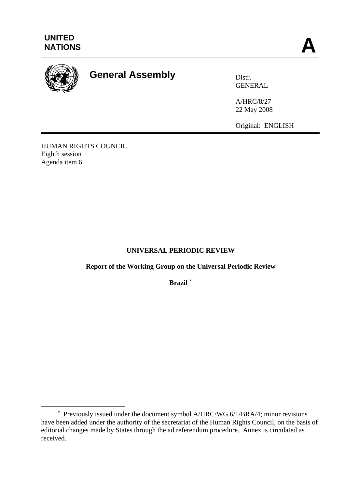

 $\overline{a}$ 

# **General Assembly** Distr.

GENERAL

A/HRC/8/27 22 May 2008

Original: ENGLISH

HUMAN RIGHTS COUNCIL Eighth session Agenda item 6

# **UNIVERSAL PERIODIC REVIEW**

**Report of the Working Group on the Universal Periodic Review** 

**Brazil** [∗](#page-0-0)

<span id="page-0-0"></span><sup>∗</sup> Previously issued under the document symbol A/HRC/WG.6/1/BRA/4; minor revisions have been added under the authority of the secretariat of the Human Rights Council, on the basis of editorial changes made by States through the ad referendum procedure. Annex is circulated as received.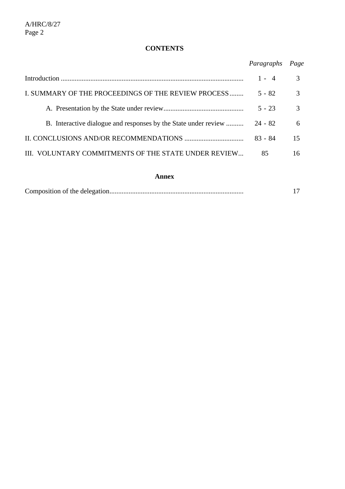# **CONTENTS**

| Paragraphs Page |  |
|-----------------|--|
|                 |  |
|                 |  |

|                                                      | $1 - 4$  | $\mathcal{R}$ |
|------------------------------------------------------|----------|---------------|
| I. SUMMARY OF THE PROCEEDINGS OF THE REVIEW PROCESS  | $5 - 82$ | $\mathcal{F}$ |
|                                                      | $5 - 23$ | $\mathcal{E}$ |
|                                                      |          | 6             |
|                                                      | 83 - 84  | 15            |
| III. VOLUNTARY COMMITMENTS OF THE STATE UNDER REVIEW | 85       | 16            |

#### **Annex**

|--|--|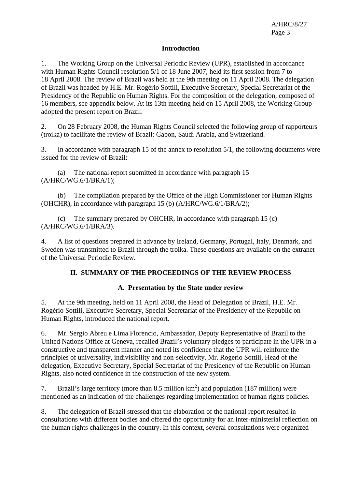#### **Introduction**

1. The Working Group on the Universal Periodic Review (UPR), established in accordance with Human Rights Council resolution 5/1 of 18 June 2007, held its first session from 7 to 18 April 2008. The review of Brazil was held at the 9th meeting on 11 April 2008. The delegation of Brazil was headed by H.E. Mr. Rogério Sottili, Executive Secretary, Special Secretariat of the Presidency of the Republic on Human Rights. For the composition of the delegation, composed of 16 members, see appendix below. At its 13th meeting held on 15 April 2008, the Working Group adopted the present report on Brazil.

2. On 28 February 2008, the Human Rights Council selected the following group of rapporteurs (troika) to facilitate the review of Brazil: Gabon, Saudi Arabia, and Switzerland.

3. In accordance with paragraph 15 of the annex to resolution 5/1, the following documents were issued for the review of Brazil:

 (a) The national report submitted in accordance with paragraph 15 (A/HRC/WG.6/1/BRA/1);

 (b) The compilation prepared by the Office of the High Commissioner for Human Rights (OHCHR), in accordance with paragraph 15 (b) (A/HRC/WG.6/1/BRA/2);

 (c) The summary prepared by OHCHR, in accordance with paragraph 15 (c) (A/HRC/WG.6/1/BRA/3).

4. A list of questions prepared in advance by Ireland, Germany, Portugal, Italy, Denmark, and Sweden was transmitted to Brazil through the troika. These questions are available on the extranet of the Universal Periodic Review.

### **II. SUMMARY OF THE PROCEEDINGS OF THE REVIEW PROCESS**

### **A. Presentation by the State under review**

5. At the 9th meeting, held on 11 April 2008, the Head of Delegation of Brazil, H.E. Mr. Rogério Sottili, Executive Secretary, Special Secretariat of the Presidency of the Republic on Human Rights, introduced the national report.

6. Mr. Sergio Abreu e Lima Florencio, Ambassador, Deputy Representative of Brazil to the United Nations Office at Geneva, recalled Brazil's voluntary pledges to participate in the UPR in a constructive and transparent manner and noted its confidence that the UPR will reinforce the principles of universality, indivisibility and non-selectivity. Mr. Rogerio Sottili, Head of the delegation, Executive Secretary, Special Secretariat of the Presidency of the Republic on Human Rights, also noted confidence in the construction of the new system.

7. Brazil's large territory (more than 8.5 million  $km<sup>2</sup>$ ) and population (187 million) were mentioned as an indication of the challenges regarding implementation of human rights policies.

8. The delegation of Brazil stressed that the elaboration of the national report resulted in consultations with different bodies and offered the opportunity for an inter-ministerial reflection on the human rights challenges in the country. In this context, several consultations were organized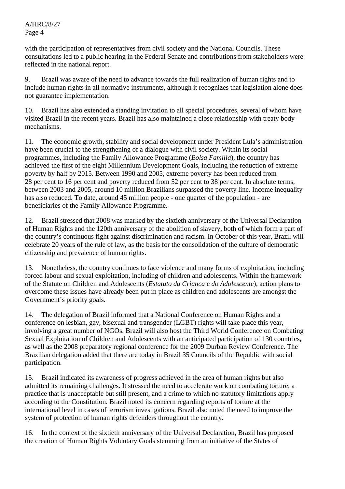with the participation of representatives from civil society and the National Councils. These consultations led to a public hearing in the Federal Senate and contributions from stakeholders were reflected in the national report.

9. Brazil was aware of the need to advance towards the full realization of human rights and to include human rights in all normative instruments, although it recognizes that legislation alone does not guarantee implementation.

10. Brazil has also extended a standing invitation to all special procedures, several of whom have visited Brazil in the recent years. Brazil has also maintained a close relationship with treaty body mechanisms.

11. The economic growth, stability and social development under President Lula's administration have been crucial to the strengthening of a dialogue with civil society. Within its social programmes, including the Family Allowance Programme (*Bolsa Familia*), the country has achieved the first of the eight Millennium Development Goals, including the reduction of extreme poverty by half by 2015. Between 1990 and 2005, extreme poverty has been reduced from 28 per cent to 16 per cent and poverty reduced from 52 per cent to 38 per cent. In absolute terms, between 2003 and 2005, around 10 million Brazilians surpassed the poverty line. Income inequality has also reduced. To date, around 45 million people - one quarter of the population - are beneficiaries of the Family Allowance Programme.

12. Brazil stressed that 2008 was marked by the sixtieth anniversary of the Universal Declaration of Human Rights and the 120th anniversary of the abolition of slavery, both of which form a part of the country's continuous fight against discrimination and racism. In October of this year, Brazil will celebrate 20 years of the rule of law, as the basis for the consolidation of the culture of democratic citizenship and prevalence of human rights.

13. Nonetheless, the country continues to face violence and many forms of exploitation, including forced labour and sexual exploitation, including of children and adolescents. Within the framework of the Statute on Children and Adolescents (*Estatuto da Crianca e do Adolescente*), action plans to overcome these issues have already been put in place as children and adolescents are amongst the Government's priority goals.

14. The delegation of Brazil informed that a National Conference on Human Rights and a conference on lesbian, gay, bisexual and transgender (LGBT) rights will take place this year, involving a great number of NGOs. Brazil will also host the Third World Conference on Combating Sexual Exploitation of Children and Adolescents with an anticipated participation of 130 countries, as well as the 2008 preparatory regional conference for the 2009 Durban Review Conference. The Brazilian delegation added that there are today in Brazil 35 Councils of the Republic with social participation.

15. Brazil indicated its awareness of progress achieved in the area of human rights but also admitted its remaining challenges. It stressed the need to accelerate work on combating torture, a practice that is unacceptable but still present, and a crime to which no statutory limitations apply according to the Constitution. Brazil noted its concern regarding reports of torture at the international level in cases of terrorism investigations. Brazil also noted the need to improve the system of protection of human rights defenders throughout the country.

16. In the context of the sixtieth anniversary of the Universal Declaration, Brazil has proposed the creation of Human Rights Voluntary Goals stemming from an initiative of the States of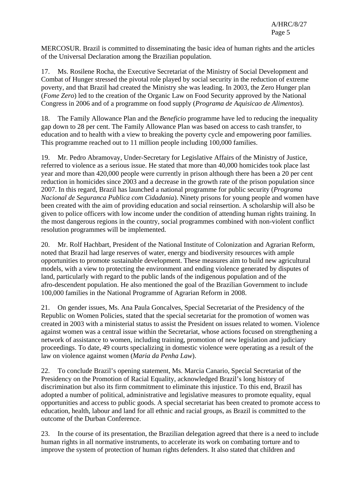MERCOSUR. Brazil is committed to disseminating the basic idea of human rights and the articles of the Universal Declaration among the Brazilian population.

17. Ms. Rosilene Rocha, the Executive Secretariat of the Ministry of Social Development and Combat of Hunger stressed the pivotal role played by social security in the reduction of extreme poverty, and that Brazil had created the Ministry she was leading. In 2003, the Zero Hunger plan (*Fome Zero*) led to the creation of the Organic Law on Food Security approved by the National Congress in 2006 and of a programme on food supply (*Programa de Aquisicao de Alimentos*).

18. The Family Allowance Plan and the *Beneficio* programme have led to reducing the inequality gap down to 28 per cent. The Family Allowance Plan was based on access to cash transfer, to education and to health with a view to breaking the poverty cycle and empowering poor families. This programme reached out to 11 million people including 100,000 families.

19. Mr. Pedro Abramovay, Under-Secretary for Legislative Affairs of the Ministry of Justice, referred to violence as a serious issue. He stated that more than 40,000 homicides took place last year and more than 420,000 people were currently in prison although there has been a 20 per cent reduction in homicides since 2003 and a decrease in the growth rate of the prison population since 2007. In this regard, Brazil has launched a national programme for public security (*Programa Nacional de Seguranca Publica com Cidadania*). Ninety prisons for young people and women have been created with the aim of providing education and social reinsertion. A scholarship will also be given to police officers with low income under the condition of attending human rights training. In the most dangerous regions in the country, social programmes combined with non-violent conflict resolution programmes will be implemented.

20. Mr. Rolf Hachbart, President of the National Institute of Colonization and Agrarian Reform, noted that Brazil had large reserves of water, energy and biodiversity resources with ample opportunities to promote sustainable development. These measures aim to build new agricultural models, with a view to protecting the environment and ending violence generated by disputes of land, particularly with regard to the public lands of the indigenous population and of the afro-descendent population. He also mentioned the goal of the Brazilian Government to include 100,000 families in the National Programme of Agrarian Reform in 2008.

21. On gender issues, Ms. Ana Paula Goncalves, Special Secretariat of the Presidency of the Republic on Women Policies, stated that the special secretariat for the promotion of women was created in 2003 with a ministerial status to assist the President on issues related to women. Violence against women was a central issue within the Secretariat, whose actions focused on strengthening a network of assistance to women, including training, promotion of new legislation and judiciary proceedings. To date, 49 courts specializing in domestic violence were operating as a result of the law on violence against women (*Maria da Penha Law*).

22. To conclude Brazil's opening statement, Ms. Marcia Canario, Special Secretariat of the Presidency on the Promotion of Racial Equality, acknowledged Brazil's long history of discrimination but also its firm commitment to eliminate this injustice. To this end, Brazil has adopted a number of political, administrative and legislative measures to promote equality, equal opportunities and access to public goods. A special secretariat has been created to promote access to education, health, labour and land for all ethnic and racial groups, as Brazil is committed to the outcome of the Durban Conference.

23. In the course of its presentation, the Brazilian delegation agreed that there is a need to include human rights in all normative instruments, to accelerate its work on combating torture and to improve the system of protection of human rights defenders. It also stated that children and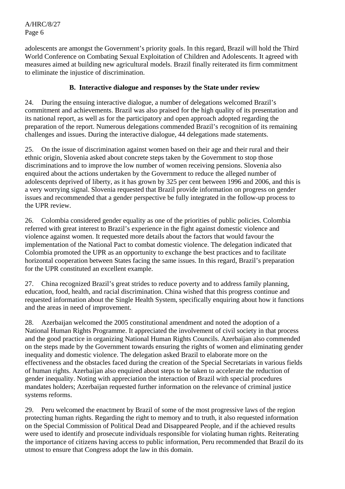adolescents are amongst the Government's priority goals. In this regard, Brazil will hold the Third World Conference on Combating Sexual Exploitation of Children and Adolescents. It agreed with measures aimed at building new agricultural models. Brazil finally reiterated its firm commitment to eliminate the injustice of discrimination.

# **B. Interactive dialogue and responses by the State under review**

24. During the ensuing interactive dialogue, a number of delegations welcomed Brazil's commitment and achievements. Brazil was also praised for the high quality of its presentation and its national report, as well as for the participatory and open approach adopted regarding the preparation of the report. Numerous delegations commended Brazil's recognition of its remaining challenges and issues. During the interactive dialogue, 44 delegations made statements.

25. On the issue of discrimination against women based on their age and their rural and their ethnic origin, Slovenia asked about concrete steps taken by the Government to stop those discriminations and to improve the low number of women receiving pensions. Slovenia also enquired about the actions undertaken by the Government to reduce the alleged number of adolescents deprived of liberty, as it has grown by 325 per cent between 1996 and 2006, and this is a very worrying signal. Slovenia requested that Brazil provide information on progress on gender issues and recommended that a gender perspective be fully integrated in the follow-up process to the UPR review.

26. Colombia considered gender equality as one of the priorities of public policies. Colombia referred with great interest to Brazil's experience in the fight against domestic violence and violence against women. It requested more details about the factors that would favour the implementation of the National Pact to combat domestic violence. The delegation indicated that Colombia promoted the UPR as an opportunity to exchange the best practices and to facilitate horizontal cooperation between States facing the same issues. In this regard, Brazil's preparation for the UPR constituted an excellent example.

27. China recognized Brazil's great strides to reduce poverty and to address family planning, education, food, health, and racial discrimination. China wished that this progress continue and requested information about the Single Health System, specifically enquiring about how it functions and the areas in need of improvement.

28. Azerbaijan welcomed the 2005 constitutional amendment and noted the adoption of a National Human Rights Programme. It appreciated the involvement of civil society in that process and the good practice in organizing National Human Rights Councils. Azerbaijan also commended on the steps made by the Government towards ensuring the rights of women and eliminating gender inequality and domestic violence. The delegation asked Brazil to elaborate more on the effectiveness and the obstacles faced during the creation of the Special Secretariats in various fields of human rights. Azerbaijan also enquired about steps to be taken to accelerate the reduction of gender inequality. Noting with appreciation the interaction of Brazil with special procedures mandates holders; Azerbaijan requested further information on the relevance of criminal justice systems reforms.

29. Peru welcomed the enactment by Brazil of some of the most progressive laws of the region protecting human rights. Regarding the right to memory and to truth, it also requested information on the Special Commission of Political Dead and Disappeared People, and if the achieved results were used to identify and prosecute individuals responsible for violating human rights. Reiterating the importance of citizens having access to public information, Peru recommended that Brazil do its utmost to ensure that Congress adopt the law in this domain.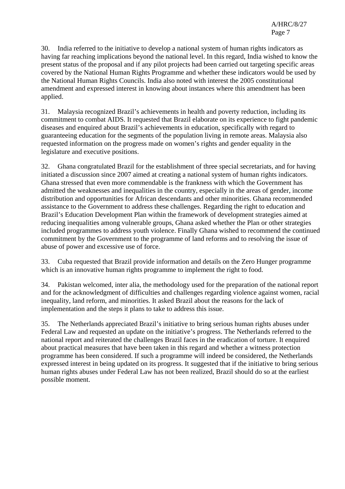30. India referred to the initiative to develop a national system of human rights indicators as having far reaching implications beyond the national level. In this regard, India wished to know the present status of the proposal and if any pilot projects had been carried out targeting specific areas covered by the National Human Rights Programme and whether these indicators would be used by the National Human Rights Councils. India also noted with interest the 2005 constitutional amendment and expressed interest in knowing about instances where this amendment has been applied.

31. Malaysia recognized Brazil's achievements in health and poverty reduction, including its commitment to combat AIDS. It requested that Brazil elaborate on its experience to fight pandemic diseases and enquired about Brazil's achievements in education, specifically with regard to guaranteeing education for the segments of the population living in remote areas. Malaysia also requested information on the progress made on women's rights and gender equality in the legislature and executive positions.

32. Ghana congratulated Brazil for the establishment of three special secretariats, and for having initiated a discussion since 2007 aimed at creating a national system of human rights indicators. Ghana stressed that even more commendable is the frankness with which the Government has admitted the weaknesses and inequalities in the country, especially in the areas of gender, income distribution and opportunities for African descendants and other minorities. Ghana recommended assistance to the Government to address these challenges. Regarding the right to education and Brazil's Education Development Plan within the framework of development strategies aimed at reducing inequalities among vulnerable groups, Ghana asked whether the Plan or other strategies included programmes to address youth violence. Finally Ghana wished to recommend the continued commitment by the Government to the programme of land reforms and to resolving the issue of abuse of power and excessive use of force.

33. Cuba requested that Brazil provide information and details on the Zero Hunger programme which is an innovative human rights programme to implement the right to food.

34. Pakistan welcomed, inter alia, the methodology used for the preparation of the national report and for the acknowledgment of difficulties and challenges regarding violence against women, racial inequality, land reform, and minorities. It asked Brazil about the reasons for the lack of implementation and the steps it plans to take to address this issue.

35. The Netherlands appreciated Brazil's initiative to bring serious human rights abuses under Federal Law and requested an update on the initiative's progress. The Netherlands referred to the national report and reiterated the challenges Brazil faces in the eradication of torture. It enquired about practical measures that have been taken in this regard and whether a witness protection programme has been considered. If such a programme will indeed be considered, the Netherlands expressed interest in being updated on its progress. It suggested that if the initiative to bring serious human rights abuses under Federal Law has not been realized, Brazil should do so at the earliest possible moment.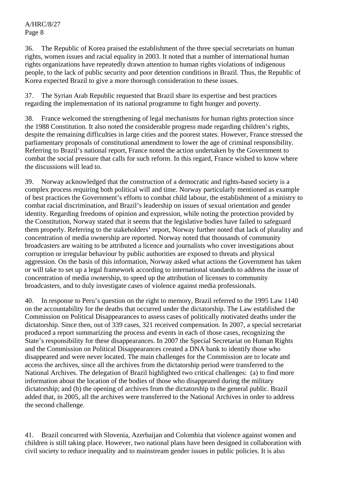36. The Republic of Korea praised the establishment of the three special secretariats on human rights, women issues and racial equality in 2003. It noted that a number of international human rights organizations have repeatedly drawn attention to human rights violations of indigenous people, to the lack of public security and poor detention conditions in Brazil. Thus, the Republic of Korea expected Brazil to give a more thorough consideration to these issues.

37. The Syrian Arab Republic requested that Brazil share its expertise and best practices regarding the implementation of its national programme to fight hunger and poverty.

38. France welcomed the strengthening of legal mechanisms for human rights protection since the 1988 Constitution. It also noted the considerable progress made regarding children's rights, despite the remaining difficulties in large cities and the poorest states. However, France stressed the parliamentary proposals of constitutional amendment to lower the age of criminal responsibility. Referring to Brazil's national report, France noted the action undertaken by the Government to combat the social pressure that calls for such reform. In this regard, France wished to know where the discussions will lead to.

39. Norway acknowledged that the construction of a democratic and rights-based society is a complex process requiring both political will and time. Norway particularly mentioned as example of best practices the Government's efforts to combat child labour, the establishment of a ministry to combat racial discrimination, and Brazil's leadership on issues of sexual orientation and gender identity. Regarding freedoms of opinion and expression, while noting the protection provided by the Constitution, Norway stated that it seems that the legislative bodies have failed to safeguard them properly. Referring to the stakeholders' report, Norway further noted that lack of plurality and concentration of media ownership are reported. Norway noted that thousands of community broadcasters are waiting to be attributed a licence and journalists who cover investigations about corruption or irregular behaviour by public authorities are exposed to threats and physical aggression. On the basis of this information, Norway asked what actions the Government has taken or will take to set up a legal framework according to international standards to address the issue of concentration of media ownership, to speed up the attribution of licenses to community broadcasters, and to duly investigate cases of violence against media professionals.

40. In response to Peru's question on the right to memory, Brazil referred to the 1995 Law 1140 on the accountability for the deaths that occurred under the dictatorship. The Law established the Commission on Political Disappearances to assess cases of politically motivated deaths under the dictatorship. Since then, out of 339 cases, 321 received compensation. In 2007, a special secretariat produced a report summarizing the process and events in each of those cases, recognizing the State's responsibility for these disappearances. In 2007 the Special Secretariat on Human Rights and the Commission on Political Disappearances created a DNA bank to identify those who disappeared and were never located. The main challenges for the Commission are to locate and access the archives, since all the archives from the dictatorship period were transferred to the National Archives. The delegation of Brazil highlighted two critical challenges: (a) to find more information about the location of the bodies of those who disappeared during the military dictatorship; and (b) the opening of archives from the dictatorship to the general public. Brazil added that, in 2005, all the archives were transferred to the National Archives in order to address the second challenge.

41. Brazil concurred with Slovenia, Azerbaijan and Colombia that violence against women and children is still taking place. However, two national plans have been designed in collaboration with civil society to reduce inequality and to mainstream gender issues in public policies. It is also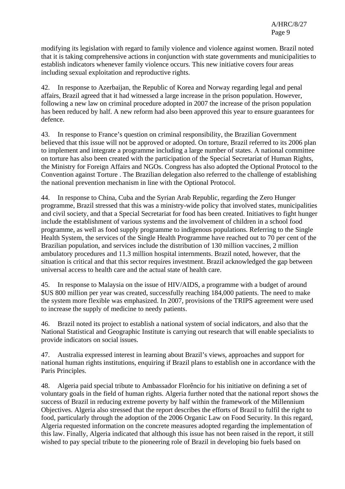modifying its legislation with regard to family violence and violence against women. Brazil noted that it is taking comprehensive actions in conjunction with state governments and municipalities to establish indicators whenever family violence occurs. This new initiative covers four areas including sexual exploitation and reproductive rights.

42. In response to Azerbaijan, the Republic of Korea and Norway regarding legal and penal affairs, Brazil agreed that it had witnessed a large increase in the prison population. However, following a new law on criminal procedure adopted in 2007 the increase of the prison population has been reduced by half. A new reform had also been approved this year to ensure guarantees for defence.

43. In response to France's question on criminal responsibility, the Brazilian Government believed that this issue will not be approved or adopted. On torture, Brazil referred to its 2006 plan to implement and integrate a programme including a large number of states. A national committee on torture has also been created with the participation of the Special Secretariat of Human Rights, the Ministry for Foreign Affairs and NGOs. Congress has also adopted the Optional Protocol to the Convention against Torture . The Brazilian delegation also referred to the challenge of establishing the national prevention mechanism in line with the Optional Protocol.

44. In response to China, Cuba and the Syrian Arab Republic, regarding the Zero Hunger programme, Brazil stressed that this was a ministry-wide policy that involved states, municipalities and civil society, and that a Special Secretariat for food has been created. Initiatives to fight hunger include the establishment of various systems and the involvement of children in a school food programme, as well as food supply programme to indigenous populations. Referring to the Single Health System, the services of the Single Health Programme have reached out to 70 per cent of the Brazilian population, and services include the distribution of 130 million vaccines, 2 million ambulatory procedures and 11.3 million hospital internments. Brazil noted, however, that the situation is critical and that this sector requires investment. Brazil acknowledged the gap between universal access to health care and the actual state of health care.

45. In response to Malaysia on the issue of HIV/AIDS, a programme with a budget of around \$US 800 million per year was created, successfully reaching 184,000 patients. The need to make the system more flexible was emphasized. In 2007, provisions of the TRIPS agreement were used to increase the supply of medicine to needy patients.

46. Brazil noted its project to establish a national system of social indicators, and also that the National Statistical and Geographic Institute is carrying out research that will enable specialists to provide indicators on social issues.

47. Australia expressed interest in learning about Brazil's views, approaches and support for national human rights institutions, enquiring if Brazil plans to establish one in accordance with the Paris Principles.

48. Algeria paid special tribute to Ambassador Florêncio for his initiative on defining a set of voluntary goals in the field of human rights. Algeria further noted that the national report shows the success of Brazil in reducing extreme poverty by half within the framework of the Millennium Objectives. Algeria also stressed that the report describes the efforts of Brazil to fulfil the right to food, particularly through the adoption of the 2006 Organic Law on Food Security. In this regard, Algeria requested information on the concrete measures adopted regarding the implementation of this law. Finally, Algeria indicated that although this issue has not been raised in the report, it still wished to pay special tribute to the pioneering role of Brazil in developing bio fuels based on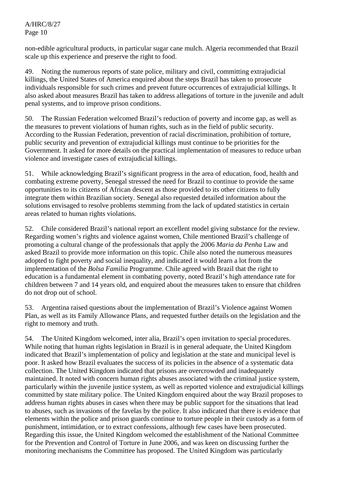non-edible agricultural products, in particular sugar cane mulch. Algeria recommended that Brazil scale up this experience and preserve the right to food.

49. Noting the numerous reports of state police, military and civil, committing extrajudicial killings, the United States of America enquired about the steps Brazil has taken to prosecute individuals responsible for such crimes and prevent future occurrences of extrajudicial killings. It also asked about measures Brazil has taken to address allegations of torture in the juvenile and adult penal systems, and to improve prison conditions.

50. The Russian Federation welcomed Brazil's reduction of poverty and income gap, as well as the measures to prevent violations of human rights, such as in the field of public security. According to the Russian Federation, prevention of racial discrimination, prohibition of torture, public security and prevention of extrajudicial killings must continue to be priorities for the Government. It asked for more details on the practical implementation of measures to reduce urban violence and investigate cases of extrajudicial killings.

51. While acknowledging Brazil's significant progress in the area of education, food, health and combating extreme poverty, Senegal stressed the need for Brazil to continue to provide the same opportunities to its citizens of African descent as those provided to its other citizens to fully integrate them within Brazilian society. Senegal also requested detailed information about the solutions envisaged to resolve problems stemming from the lack of updated statistics in certain areas related to human rights violations.

52. Chile considered Brazil's national report an excellent model giving substance for the review. Regarding women's rights and violence against women, Chile mentioned Brazil's challenge of promoting a cultural change of the professionals that apply the 2006 *Maria da Penha* Law and asked Brazil to provide more information on this topic. Chile also noted the numerous measures adopted to fight poverty and social inequality, and indicated it would learn a lot from the implementation of the *Bolsa Familia* Programme. Chile agreed with Brazil that the right to education is a fundamental element in combating poverty, noted Brazil's high attendance rate for children between 7 and 14 years old, and enquired about the measures taken to ensure that children do not drop out of school.

53. Argentina raised questions about the implementation of Brazil's Violence against Women Plan, as well as its Family Allowance Plans, and requested further details on the legislation and the right to memory and truth.

54. The United Kingdom welcomed, inter alia, Brazil's open invitation to special procedures. While noting that human rights legislation in Brazil is in general adequate, the United Kingdom indicated that Brazil's implementation of policy and legislation at the state and municipal level is poor. It asked how Brazil evaluates the success of its policies in the absence of a systematic data collection. The United Kingdom indicated that prisons are overcrowded and inadequately maintained. It noted with concern human rights abuses associated with the criminal justice system, particularly within the juvenile justice system, as well as reported violence and extrajudicial killings committed by state military police. The United Kingdom enquired about the way Brazil proposes to address human rights abuses in cases when there may be public support for the situations that lead to abuses, such as invasions of the favelas by the police. It also indicated that there is evidence that elements within the police and prison guards continue to torture people in their custody as a form of punishment, intimidation, or to extract confessions, although few cases have been prosecuted. Regarding this issue, the United Kingdom welcomed the establishment of the National Committee for the Prevention and Control of Torture in June 2006, and was keen on discussing further the monitoring mechanisms the Committee has proposed. The United Kingdom was particularly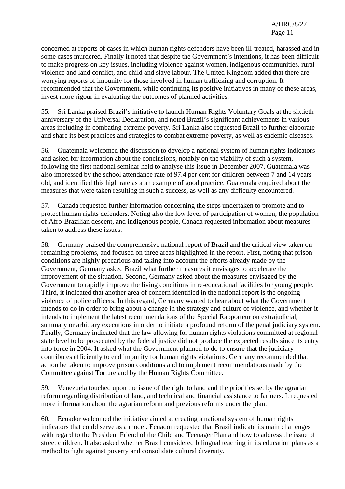concerned at reports of cases in which human rights defenders have been ill-treated, harassed and in some cases murdered. Finally it noted that despite the Government's intentions, it has been difficult to make progress on key issues, including violence against women, indigenous communities, rural violence and land conflict, and child and slave labour. The United Kingdom added that there are worrying reports of impunity for those involved in human trafficking and corruption. It recommended that the Government, while continuing its positive initiatives in many of these areas, invest more rigour in evaluating the outcomes of planned activities.

55. Sri Lanka praised Brazil's initiative to launch Human Rights Voluntary Goals at the sixtieth anniversary of the Universal Declaration, and noted Brazil's significant achievements in various areas including in combating extreme poverty. Sri Lanka also requested Brazil to further elaborate and share its best practices and strategies to combat extreme poverty, as well as endemic diseases.

56. Guatemala welcomed the discussion to develop a national system of human rights indicators and asked for information about the conclusions, notably on the viability of such a system, following the first national seminar held to analyse this issue in December 2007. Guatemala was also impressed by the school attendance rate of 97.4 per cent for children between 7 and 14 years old, and identified this high rate as a an example of good practice. Guatemala enquired about the measures that were taken resulting in such a success, as well as any difficulty encountered.

57. Canada requested further information concerning the steps undertaken to promote and to protect human rights defenders. Noting also the low level of participation of women, the population of Afro-Brazilian descent, and indigenous people, Canada requested information about measures taken to address these issues.

58. Germany praised the comprehensive national report of Brazil and the critical view taken on remaining problems, and focused on three areas highlighted in the report. First, noting that prison conditions are highly precarious and taking into account the efforts already made by the Government, Germany asked Brazil what further measures it envisages to accelerate the improvement of the situation. Second, Germany asked about the measures envisaged by the Government to rapidly improve the living conditions in re-educational facilities for young people. Third, it indicated that another area of concern identified in the national report is the ongoing violence of police officers. In this regard, Germany wanted to hear about what the Government intends to do in order to bring about a change in the strategy and culture of violence, and whether it intends to implement the latest recommendations of the Special Rapporteur on extrajudicial, summary or arbitrary executions in order to initiate a profound reform of the penal judiciary system. Finally, Germany indicated that the law allowing for human rights violations committed at regional state level to be prosecuted by the federal justice did not produce the expected results since its entry into force in 2004. It asked what the Government planned to do to ensure that the judiciary contributes efficiently to end impunity for human rights violations. Germany recommended that action be taken to improve prison conditions and to implement recommendations made by the Committee against Torture and by the Human Rights Committee.

59. Venezuela touched upon the issue of the right to land and the priorities set by the agrarian reform regarding distribution of land, and technical and financial assistance to farmers. It requested more information about the agrarian reform and previous reforms under the plan.

60. Ecuador welcomed the initiative aimed at creating a national system of human rights indicators that could serve as a model. Ecuador requested that Brazil indicate its main challenges with regard to the President Friend of the Child and Teenager Plan and how to address the issue of street children. It also asked whether Brazil considered bilingual teaching in its education plans as a method to fight against poverty and consolidate cultural diversity.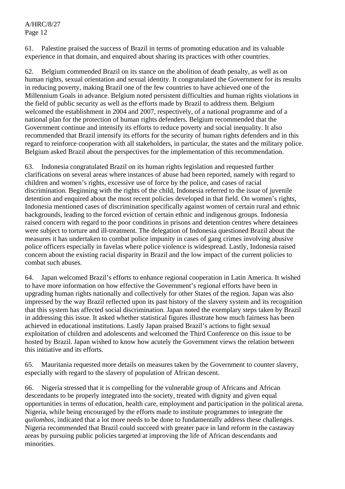61. Palestine praised the success of Brazil in terms of promoting education and its valuable experience in that domain, and enquired about sharing its practices with other countries.

62. Belgium commended Brazil on its stance on the abolition of death penalty, as well as on human rights, sexual orientation and sexual identity. It congratulated the Government for its results in reducing poverty, making Brazil one of the few countries to have achieved one of the Millennium Goals in advance. Belgium noted persistent difficulties and human rights violations in the field of public security as well as the efforts made by Brazil to address them. Belgium welcomed the establishment in 2004 and 2007, respectively, of a national programme and of a national plan for the protection of human rights defenders. Belgium recommended that the Government continue and intensify its efforts to reduce poverty and social inequality. It also recommended that Brazil intensify its efforts for the security of human rights defenders and in this regard to reinforce cooperation with all stakeholders, in particular, the states and the military police. Belgium asked Brazil about the perspectives for the implementation of this recommendation.

63. Indonesia congratulated Brazil on its human rights legislation and requested further clarifications on several areas where instances of abuse had been reported, namely with regard to children and women's rights, excessive use of force by the police, and cases of racial discrimination. Beginning with the rights of the child, Indonesia referred to the issue of juvenile detention and enquired about the most recent policies developed in that field. On women's rights, Indonesia mentioned cases of discrimination specifically against women of certain rural and ethnic backgrounds, leading to the forced eviction of certain ethnic and indigenous groups. Indonesia raised concern with regard to the poor conditions in prisons and detention centres where detainees were subject to torture and ill-treatment. The delegation of Indonesia questioned Brazil about the measures it has undertaken to combat police impunity in cases of gang crimes involving abusive police officers especially in favelas where police violence is widespread. Lastly, Indonesia raised concern about the existing racial disparity in Brazil and the low impact of the current policies to combat such abuses.

64. Japan welcomed Brazil's efforts to enhance regional cooperation in Latin America. It wished to have more information on how effective the Government's regional efforts have been in upgrading human rights nationally and collectively for other States of the region. Japan was also impressed by the way Brazil reflected upon its past history of the slavery system and its recognition that this system has affected social discrimination. Japan noted the exemplary steps taken by Brazil in addressing this issue. It asked whether statistical figures illustrate how much fairness has been achieved in educational institutions. Lastly Japan praised Brazil's actions to fight sexual exploitation of children and adolescents and welcomed the Third Conference on this issue to be hosted by Brazil. Japan wished to know how acutely the Government views the relation between this initiative and its efforts.

65. Mauritania requested more details on measures taken by the Government to counter slavery, especially with regard to the slavery of population of African descent.

66. Nigeria stressed that it is compelling for the vulnerable group of Africans and African descendants to be properly integrated into the society, treated with dignity and given equal opportunities in terms of education, health care, employment and participation in the political arena. Nigeria, while being encouraged by the efforts made to institute programmes to integrate the *quilombos*, indicated that a lot more needs to be done to fundamentally address these challenges. Nigeria recommended that Brazil could succeed with greater pace in land reform in the castaway areas by pursuing public policies targeted at improving the life of African descendants and minorities.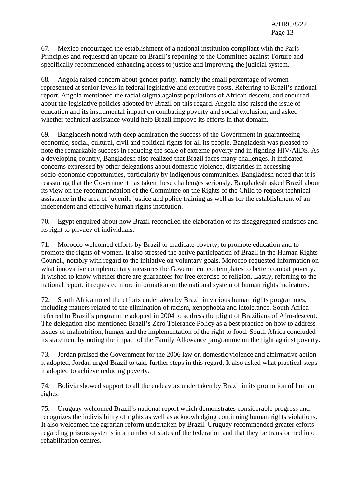67. Mexico encouraged the establishment of a national institution compliant with the Paris Principles and requested an update on Brazil's reporting to the Committee against Torture and specifically recommended enhancing access to justice and improving the judicial system.

68. Angola raised concern about gender parity, namely the small percentage of women represented at senior levels in federal legislative and executive posts. Referring to Brazil's national report, Angola mentioned the racial stigma against populations of African descent, and enquired about the legislative policies adopted by Brazil on this regard. Angola also raised the issue of education and its instrumental impact on combating poverty and social exclusion, and asked whether technical assistance would help Brazil improve its efforts in that domain.

69. Bangladesh noted with deep admiration the success of the Government in guaranteeing economic, social, cultural, civil and political rights for all its people. Bangladesh was pleased to note the remarkable success in reducing the scale of extreme poverty and in fighting HIV/AIDS. As a developing country, Bangladesh also realized that Brazil faces many challenges. It indicated concerns expressed by other delegations about domestic violence, disparities in accessing socio-economic opportunities, particularly by indigenous communities. Bangladesh noted that it is reassuring that the Government has taken these challenges seriously. Bangladesh asked Brazil about its view on the recommendation of the Committee on the Rights of the Child to request technical assistance in the area of juvenile justice and police training as well as for the establishment of an independent and effective human rights institution.

70. Egypt enquired about how Brazil reconciled the elaboration of its disaggregated statistics and its right to privacy of individuals.

71. Morocco welcomed efforts by Brazil to eradicate poverty, to promote education and to promote the rights of women. It also stressed the active participation of Brazil in the Human Rights Council, notably with regard to the initiative on voluntary goals. Morocco requested information on what innovative complementary measures the Government contemplates to better combat poverty. It wished to know whether there are guarantees for free exercise of religion. Lastly, referring to the national report, it requested more information on the national system of human rights indicators.

72. South Africa noted the efforts undertaken by Brazil in various human rights programmes, including matters related to the elimination of racism, xenophobia and intolerance. South Africa referred to Brazil's programme adopted in 2004 to address the plight of Brazilians of Afro-descent. The delegation also mentioned Brazil's Zero Tolerance Policy as a best practice on how to address issues of malnutrition, hunger and the implementation of the right to food. South Africa concluded its statement by noting the impact of the Family Allowance programme on the fight against poverty.

73. Jordan praised the Government for the 2006 law on domestic violence and affirmative action it adopted. Jordan urged Brazil to take further steps in this regard. It also asked what practical steps it adopted to achieve reducing poverty.

74. Bolivia showed support to all the endeavors undertaken by Brazil in its promotion of human rights.

75. Uruguay welcomed Brazil's national report which demonstrates considerable progress and recognizes the indivisibility of rights as well as acknowledging continuing human rights violations. It also welcomed the agrarian reform undertaken by Brazil. Uruguay recommended greater efforts regarding prisons systems in a number of states of the federation and that they be transformed into rehabilitation centres.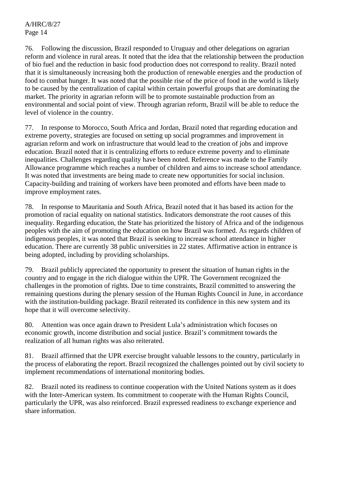76. Following the discussion, Brazil responded to Uruguay and other delegations on agrarian reform and violence in rural areas. It noted that the idea that the relationship between the production of bio fuel and the reduction in basic food production does not correspond to reality. Brazil noted that it is simultaneously increasing both the production of renewable energies and the production of food to combat hunger. It was noted that the possible rise of the price of food in the world is likely to be caused by the centralization of capital within certain powerful groups that are dominating the market. The priority in agrarian reform will be to promote sustainable production from an environmental and social point of view. Through agrarian reform, Brazil will be able to reduce the level of violence in the country.

77. In response to Morocco, South Africa and Jordan, Brazil noted that regarding education and extreme poverty, strategies are focused on setting up social programmes and improvement in agrarian reform and work on infrastructure that would lead to the creation of jobs and improve education. Brazil noted that it is centralizing efforts to reduce extreme poverty and to eliminate inequalities. Challenges regarding quality have been noted. Reference was made to the Family Allowance programme which reaches a number of children and aims to increase school attendance. It was noted that investments are being made to create new opportunities for social inclusion. Capacity-building and training of workers have been promoted and efforts have been made to improve employment rates.

78. In response to Mauritania and South Africa, Brazil noted that it has based its action for the promotion of racial equality on national statistics. Indicators demonstrate the root causes of this inequality. Regarding education, the State has prioritized the history of Africa and of the indigenous peoples with the aim of promoting the education on how Brazil was formed. As regards children of indigenous peoples, it was noted that Brazil is seeking to increase school attendance in higher education. There are currently 38 public universities in 22 states. Affirmative action in entrance is being adopted, including by providing scholarships.

79. Brazil publicly appreciated the opportunity to present the situation of human rights in the country and to engage in the rich dialogue within the UPR. The Government recognized the challenges in the promotion of rights. Due to time constraints, Brazil committed to answering the remaining questions during the plenary session of the Human Rights Council in June, in accordance with the institution-building package. Brazil reiterated its confidence in this new system and its hope that it will overcome selectivity.

80. Attention was once again drawn to President Lula's administration which focuses on economic growth, income distribution and social justice. Brazil's commitment towards the realization of all human rights was also reiterated.

81. Brazil affirmed that the UPR exercise brought valuable lessons to the country, particularly in the process of elaborating the report. Brazil recognized the challenges pointed out by civil society to implement recommendations of international monitoring bodies.

82. Brazil noted its readiness to continue cooperation with the United Nations system as it does with the Inter-American system. Its commitment to cooperate with the Human Rights Council, particularly the UPR, was also reinforced. Brazil expressed readiness to exchange experience and share information.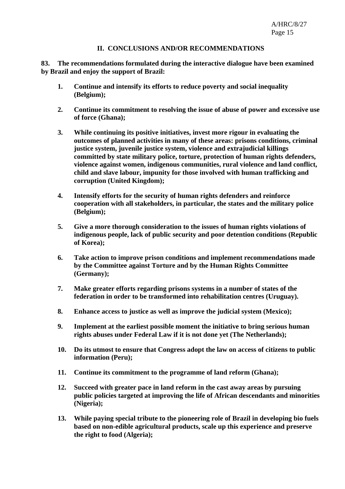#### **II. CONCLUSIONS AND/OR RECOMMENDATIONS**

**83. The recommendations formulated during the interactive dialogue have been examined by Brazil and enjoy the support of Brazil:** 

- **1. Continue and intensify its efforts to reduce poverty and social inequality (Belgium);**
- **2. Continue its commitment to resolving the issue of abuse of power and excessive use of force (Ghana);**
- **3. While continuing its positive initiatives, invest more rigour in evaluating the outcomes of planned activities in many of these areas: prisons conditions, criminal justice system, juvenile justice system, violence and extrajudicial killings committed by state military police, torture, protection of human rights defenders, violence against women, indigenous communities, rural violence and land conflict, child and slave labour, impunity for those involved with human trafficking and corruption (United Kingdom);**
- **4. Intensify efforts for the security of human rights defenders and reinforce cooperation with all stakeholders, in particular, the states and the military police (Belgium);**
- **5. Give a more thorough consideration to the issues of human rights violations of indigenous people, lack of public security and poor detention conditions (Republic of Korea);**
- **6. Take action to improve prison conditions and implement recommendations made by the Committee against Torture and by the Human Rights Committee (Germany);**
- **7. Make greater efforts regarding prisons systems in a number of states of the federation in order to be transformed into rehabilitation centres (Uruguay).**
- **8. Enhance access to justice as well as improve the judicial system (Mexico);**
- **9. Implement at the earliest possible moment the initiative to bring serious human rights abuses under Federal Law if it is not done yet (The Netherlands);**
- **10. Do its utmost to ensure that Congress adopt the law on access of citizens to public information (Peru);**
- **11. Continue its commitment to the programme of land reform (Ghana);**
- **12. Succeed with greater pace in land reform in the cast away areas by pursuing public policies targeted at improving the life of African descendants and minorities (Nigeria);**
- **13. While paying special tribute to the pioneering role of Brazil in developing bio fuels based on non-edible agricultural products, scale up this experience and preserve the right to food (Algeria);**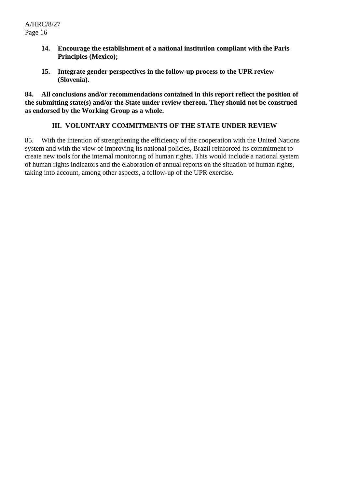- **14. Encourage the establishment of a national institution compliant with the Paris Principles (Mexico);**
- **15. Integrate gender perspectives in the follow-up process to the UPR review (Slovenia).**

**84. All conclusions and/or recommendations contained in this report reflect the position of the submitting state(s) and/or the State under review thereon. They should not be construed as endorsed by the Working Group as a whole.** 

## **III. VOLUNTARY COMMITMENTS OF THE STATE UNDER REVIEW**

85. With the intention of strengthening the efficiency of the cooperation with the United Nations system and with the view of improving its national policies, Brazil reinforced its commitment to create new tools for the internal monitoring of human rights. This would include a national system of human rights indicators and the elaboration of annual reports on the situation of human rights, taking into account, among other aspects, a follow-up of the UPR exercise.